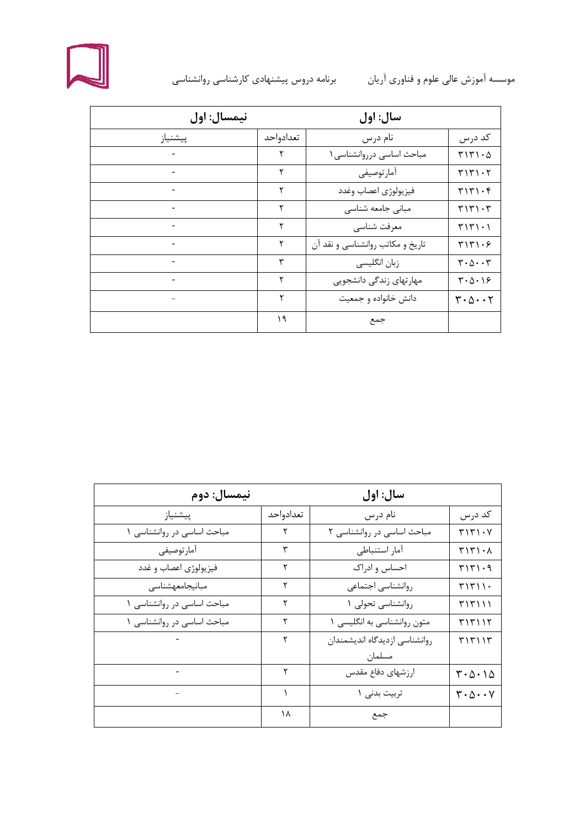

## موسسه آموزش عالی علوم و فناوری آریان مصحصح برنامه دروس پیشنهادی کارشناسی روانشناسی

| نيمسال: اول |           | سال: اول                         |                                                |
|-------------|-----------|----------------------------------|------------------------------------------------|
| پیشنیاز     | تعدادواحد | نام درس                          | كد درس                                         |
|             | ٢         | مباحث اساسی درروانشناسی ۱        | $T\setminus T\setminus\cdot \Delta$            |
|             | ٢         | أمارتوصيفي                       | T1T1.7                                         |
|             | ٢         | فيزيولوژى اعصاب وغدد             | $T\mathcal{V}\mathcal{V}\cdot\mathcal{F}$      |
|             | ۲         | مبانی جامعه شناسی                | $T\mathcal{N} \setminus T \setminus T$         |
|             | ٢         | معرفت شناسى                      | $T\setminus T\setminus \cdot \cdot$            |
|             | ٢         | تاریخ و مکاتب روانشناسی و نقد آن | T1T1.9                                         |
|             | ٣         | زبان انگلیسی                     | $\mathbf{r} \cdot \mathbf{r} \cdot \mathbf{r}$ |
|             | ٢         | مهارتهای زندگی دانشجویی          | $\mathbf{r} \cdot \mathbf{r} \cdot \mathbf{r}$ |
|             | ۲         | دانش خانواده و جمعیت             | $\mathbf{r} \cdot \mathbf{r} \cdot \mathbf{r}$ |
|             | ۱۹        | جمع                              |                                                |

| نيمسال: دوم                |           | سال: اول                      |                                                |
|----------------------------|-----------|-------------------------------|------------------------------------------------|
| پیشنیاز                    | تعدادواحد | نام درس                       | كد درس                                         |
| مباحث اساسی در روانشناسی ۱ |           | مباحث اساسی در روانشناسی ۲    | $Y \setminus Y \setminus \cdot V$              |
| أمارتوصيفي                 | ٣         | آمار استنباطي                 | $T\Upsilon\Upsilon\Lambda$                     |
| فيزيولوژي اعصاب و غدد      | ۲         | احساس و ادراک                 | T1T1.9                                         |
| مبانيجامعهشناسى            | ٢         | روانشناسي اجتماعي             | $T\backslash T\backslash \backslash \cdot$     |
| مباحث اساسی در روانشناسی ۱ | ۲         | روانشناسی تحولی ١             | T17111                                         |
| مباحث اساسی در روانشناسی ۱ | ٢         | متون روانشناسی به انگلیسی ۱   | <b>٣١٣١١٢</b>                                  |
|                            | ۲         | روانشناسي ازديدگاه انديشمندان | T17117                                         |
|                            |           | مسلمان                        |                                                |
|                            | ٢         | ارزشهاى دفاع مقدس             | $\mathbf{r} \cdot \mathbf{r} \cdot \mathbf{r}$ |
|                            |           | تربيت بدني ١                  | $\mathbf{y} \cdot \mathbf{y} \cdot \mathbf{y}$ |
|                            | ١٨        | جمع                           |                                                |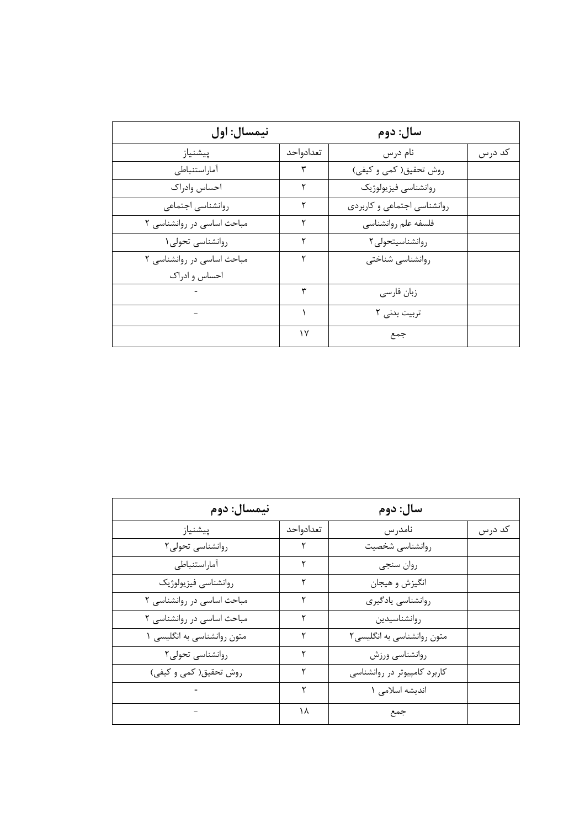| نيمسال: اول                |           | سال: دوم                    |        |
|----------------------------|-----------|-----------------------------|--------|
| پیشنیاز                    | تعدادواحد | نام درس                     | كد درس |
| أماراستنباطى               |           | روش تحقیق( کمی و کیفی)      |        |
| احساس وادراك               |           | روانشناسي فيزيولوژيک        |        |
| روانشناسي اجتماعي          |           | روانشناسی اجتماعی و کاربردی |        |
| مباحث اساسی در روانشناسی ٢ |           | فلسفه علم روانشناسي         |        |
| روانشناسی تحولی ۱          |           | روانشناسيتحولى ٢            |        |
| مباحث اساسی در روانشناسی ٢ |           | روانشناسى شناختى            |        |
| احساس و ادراک              |           |                             |        |
|                            | ٣         | زبان فارسى                  |        |
|                            |           | تربیت بدنی ۲                |        |
|                            | ۱۷        | جمع                         |        |

| نيمسال: دوم                 |           | سال: دوم                     |        |
|-----------------------------|-----------|------------------------------|--------|
| پیشنیاز                     | تعدادواحد | نامدرس                       | كد درس |
| روانشناسی تحولی۲            |           | روانشناسى شخصيت              |        |
| أماراستنباطى                |           | روان سنجى                    |        |
| روانشناسي فيزيولوژيک        |           | انگيزش و هيجان               |        |
| مباحث اساسی در روانشناسی ٢  |           | روانشناسي يادگيري            |        |
| مباحث اساسی در روانشناسی ٢  |           | روانشناسيدين                 |        |
| متون روانشناسی به انگلیسی ۱ |           | متون روانشناسی به انگلیسی۲   |        |
| روانشناسی تحولی۲            |           | روانشناسي ورزش               |        |
| روش تحقیق( کمی و کیفی)      |           | کاربرد کامپیوتر در روانشناسی |        |
|                             |           | اندیشه اسلامی ١              |        |
|                             | ۱۸        | جمع                          |        |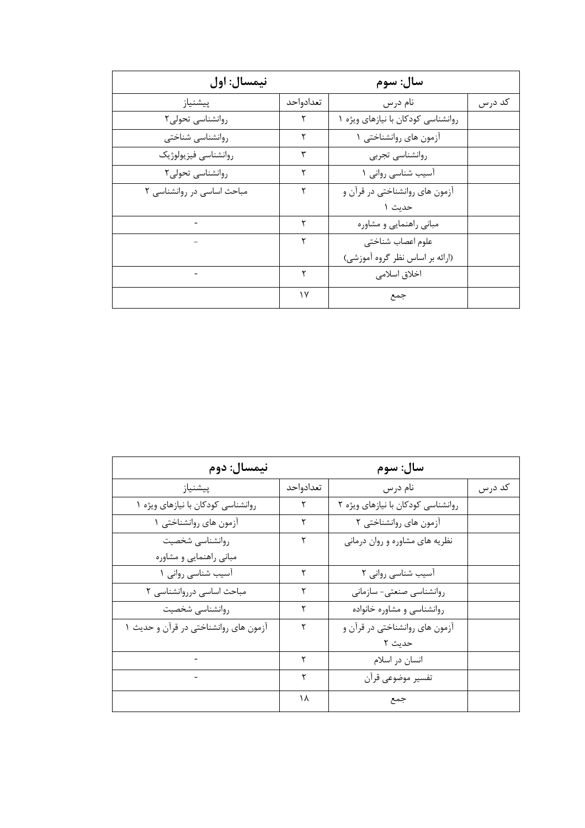| نيمسال: اول                |           | سال: سوم                           |        |
|----------------------------|-----------|------------------------------------|--------|
| پیشنیاز                    | تعدادواحد | نام درس                            | كد درس |
| روانشناسی تحولی۲           |           | روانشناسی کودکان با نیازهای ویژه ۱ |        |
| روانشناسي شناختى           | ۲         | آزمون های روانشناختی ۱             |        |
| روانشناسي فيزيولوژيک       | ٣         | روانشناسي تجربي                    |        |
| روانشناسی تحولی۲           | ۲         | آسیب شناسی روانی ۱                 |        |
| مباحث اساسی در روانشناسی ٢ |           | آزمون های روانشناختی در قرآن و     |        |
|                            |           | حديث ١                             |        |
|                            |           | مبانی راهنمایی و مشاوره            |        |
|                            | ۲         | علوم اعصاب شناختى                  |        |
|                            |           | (ارائه بر اساس نظر گروه آموزشی)    |        |
|                            |           | اخلاق اسلامى                       |        |
|                            | ١٧        | جمع                                |        |

| نيمسال: دوم                           |           | سال: سوم                           |        |
|---------------------------------------|-----------|------------------------------------|--------|
| پیشنیاز                               | تعدادواحد | نام درس                            | كد درس |
| روانشناسی کودکان با نیازهای ویژه ١    | ٢         | روانشناسی کودکان با نیازهای ویژه ٢ |        |
| آزمون های روانشناختی ۱                | ٢         | آزمون های روانشناختی ۲             |        |
| روانشناسي شخصيت                       | ٢         | نظریه های مشاوره و روان درمانی     |        |
| مبانی راهنمایی و مشاوره               |           |                                    |        |
| آسیب شناسی روانی ۱                    | ٢         | آسیب شناسی روانی ۲                 |        |
| مباحث اساسی درروانشناسی ۲             | ۲         | روانشناسي صنعتي- سازماني           |        |
| روانشناسي شخصيت                       | ۲         | روانشناسی و مشاوره خانواده         |        |
| آزمون های روانشناختی در قرآن و حدیث ١ | ۲         | آزمون های روانشناختی در قرآن و     |        |
|                                       |           | حديث ٢                             |        |
|                                       | ۲         | انسان در اسلام                     |        |
|                                       | ۲         | تفسير موضوعي قرآن                  |        |
|                                       | ۱۸        | جمع                                |        |